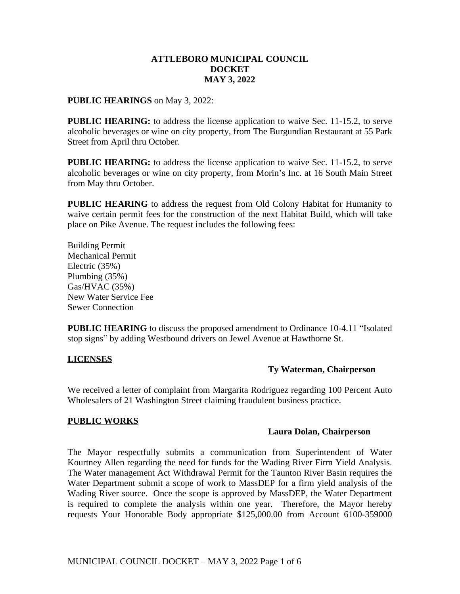## **ATTLEBORO MUNICIPAL COUNCIL DOCKET MAY 3, 2022**

#### **PUBLIC HEARINGS** on May 3, 2022:

**PUBLIC HEARING:** to address the license application to waive Sec. 11-15.2, to serve alcoholic beverages or wine on city property, from The Burgundian Restaurant at 55 Park Street from April thru October.

**PUBLIC HEARING:** to address the license application to waive Sec. 11-15.2, to serve alcoholic beverages or wine on city property, from Morin's Inc. at 16 South Main Street from May thru October.

**PUBLIC HEARING** to address the request from Old Colony Habitat for Humanity to waive certain permit fees for the construction of the next Habitat Build, which will take place on Pike Avenue. The request includes the following fees:

Building Permit Mechanical Permit Electric (35%) Plumbing (35%) Gas/HVAC (35%) New Water Service Fee Sewer Connection

**PUBLIC HEARING** to discuss the proposed amendment to Ordinance 10-4.11 "Isolated stop signs" by adding Westbound drivers on Jewel Avenue at Hawthorne St.

## **LICENSES**

# **Ty Waterman, Chairperson**

We received a letter of complaint from Margarita Rodriguez regarding 100 Percent Auto Wholesalers of 21 Washington Street claiming fraudulent business practice.

## **PUBLIC WORKS**

## **Laura Dolan, Chairperson**

The Mayor respectfully submits a communication from Superintendent of Water Kourtney Allen regarding the need for funds for the Wading River Firm Yield Analysis. The Water management Act Withdrawal Permit for the Taunton River Basin requires the Water Department submit a scope of work to MassDEP for a firm yield analysis of the Wading River source. Once the scope is approved by MassDEP, the Water Department is required to complete the analysis within one year. Therefore, the Mayor hereby requests Your Honorable Body appropriate \$125,000.00 from Account 6100-359000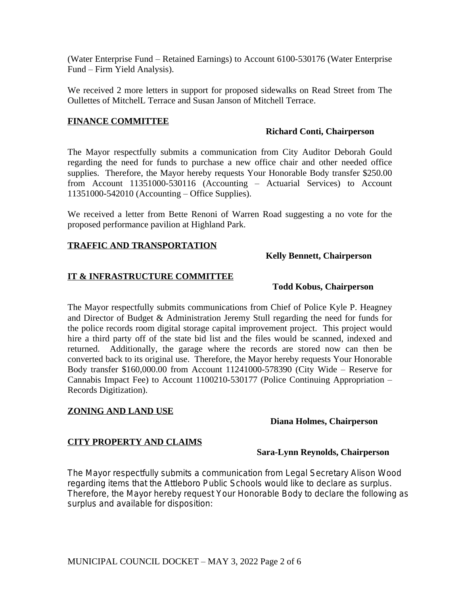(Water Enterprise Fund – Retained Earnings) to Account 6100-530176 (Water Enterprise Fund – Firm Yield Analysis).

We received 2 more letters in support for proposed sidewalks on Read Street from The Oullettes of MitchelL Terrace and Susan Janson of Mitchell Terrace.

## **FINANCE COMMITTEE**

## **Richard Conti, Chairperson**

The Mayor respectfully submits a communication from City Auditor Deborah Gould regarding the need for funds to purchase a new office chair and other needed office supplies. Therefore, the Mayor hereby requests Your Honorable Body transfer \$250.00 from Account 11351000-530116 (Accounting – Actuarial Services) to Account 11351000-542010 (Accounting – Office Supplies).

We received a letter from Bette Renoni of Warren Road suggesting a no vote for the proposed performance pavilion at Highland Park.

# **TRAFFIC AND TRANSPORTATION**

## **Kelly Bennett, Chairperson**

## **IT & INFRASTRUCTURE COMMITTEE**

## **Todd Kobus, Chairperson**

The Mayor respectfully submits communications from Chief of Police Kyle P. Heagney and Director of Budget & Administration Jeremy Stull regarding the need for funds for the police records room digital storage capital improvement project. This project would hire a third party off of the state bid list and the files would be scanned, indexed and returned. Additionally, the garage where the records are stored now can then be converted back to its original use. Therefore, the Mayor hereby requests Your Honorable Body transfer \$160,000.00 from Account 11241000-578390 (City Wide – Reserve for Cannabis Impact Fee) to Account 1100210-530177 (Police Continuing Appropriation – Records Digitization).

# **ZONING AND LAND USE**

## **Diana Holmes, Chairperson**

# **CITY PROPERTY AND CLAIMS**

# **Sara-Lynn Reynolds, Chairperson**

The Mayor respectfully submits a communication from Legal Secretary Alison Wood regarding items that the Attleboro Public Schools would like to declare as surplus. Therefore, the Mayor hereby request Your Honorable Body to declare the following as surplus and available for disposition: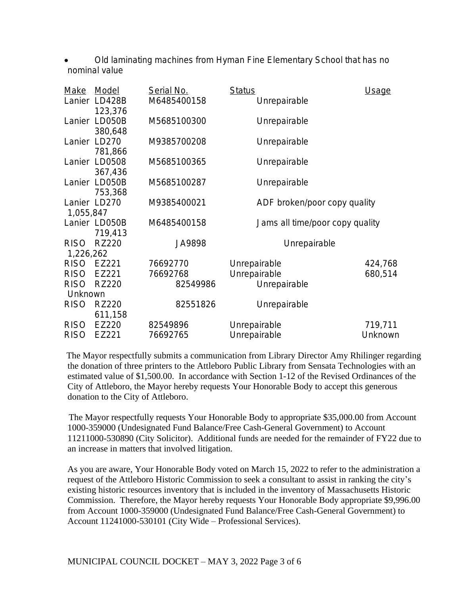Old laminating machines from Hyman Fine Elementary School that has no nominal value

| Make        | Model                               | Serial No.  | <b>Status</b>                   | Usage   |
|-------------|-------------------------------------|-------------|---------------------------------|---------|
| Lanier      | LD428B                              | M6485400158 | Unrepairable                    |         |
|             | 123,376<br>Lanier LD050B<br>380,648 | M5685100300 | Unrepairable                    |         |
| Lanier      | LD270<br>781,866                    | M9385700208 | Unrepairable                    |         |
|             | Lanier LD0508<br>367,436            | M5685100365 | Unrepairable                    |         |
|             | Lanier LD050B<br>753,368            | M5685100287 | Unrepairable                    |         |
| 1,055,847   | Lanier LD270                        | M9385400021 | ADF broken/poor copy quality    |         |
|             | Lanier LD050B                       | M6485400158 | Jams all time/poor copy quality |         |
|             | 719,413                             |             |                                 |         |
| <b>RISO</b> | <b>RZ220</b>                        | JA9898      | Unrepairable                    |         |
| 1,226,262   |                                     |             |                                 |         |
| <b>RISO</b> | EZ221                               | 76692770    | Unrepairable                    | 424,768 |
| <b>RISO</b> | EZ221                               | 76692768    | Unrepairable                    | 680,514 |
| <b>RISO</b> | <b>RZ220</b>                        | 82549986    | Unrepairable                    |         |
| Unknown     |                                     |             |                                 |         |
| <b>RISO</b> | <b>RZ220</b>                        | 82551826    | Unrepairable                    |         |
|             | 611,158                             |             |                                 |         |
| <b>RISO</b> | EZ220                               | 82549896    | Unrepairable                    | 719,711 |
| <b>RISO</b> | EZ221                               | 76692765    | Unrepairable                    | Unknown |

 The Mayor respectfully submits a communication from Library Director Amy Rhilinger regarding the donation of three printers to the Attleboro Public Library from Sensata Technologies with an estimated value of \$1,500.00. In accordance with Section 1-12 of the Revised Ordinances of the City of Attleboro, the Mayor hereby requests Your Honorable Body to accept this generous donation to the City of Attleboro.

 The Mayor respectfully requests Your Honorable Body to appropriate \$35,000.00 from Account 1000-359000 (Undesignated Fund Balance/Free Cash-General Government) to Account 11211000-530890 (City Solicitor). Additional funds are needed for the remainder of FY22 due to an increase in matters that involved litigation.

As you are aware, Your Honorable Body voted on March 15, 2022 to refer to the administration a request of the Attleboro Historic Commission to seek a consultant to assist in ranking the city's existing historic resources inventory that is included in the inventory of Massachusetts Historic Commission. Therefore, the Mayor hereby requests Your Honorable Body appropriate \$9,996.00 from Account 1000-359000 (Undesignated Fund Balance/Free Cash-General Government) to Account 11241000-530101 (City Wide – Professional Services).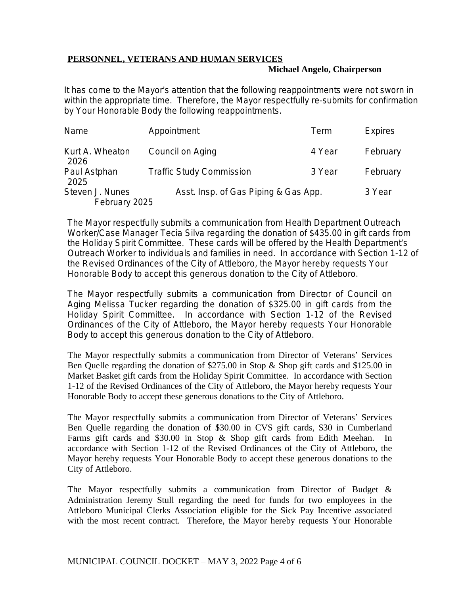## **PERSONNEL, VETERANS AND HUMAN SERVICES**

#### **Michael Angelo, Chairperson**

It has come to the Mayor's attention that the following reappointments were not sworn in within the appropriate time. Therefore, the Mayor respectfully re-submits for confirmation by Your Honorable Body the following reappointments.

| Name                    | Appointment                          | Term   | <b>Expires</b> |
|-------------------------|--------------------------------------|--------|----------------|
| Kurt A. Wheaton<br>2026 | Council on Aging                     | 4 Year | February       |
| Paul Astphan<br>2025    | <b>Traffic Study Commission</b>      | 3 Year | February       |
| Steven J. Nunes         | Asst. Insp. of Gas Piping & Gas App. | 3 Year |                |
| February 2025           |                                      |        |                |

The Mayor respectfully submits a communication from Health Department Outreach Worker/Case Manager Tecia Silva regarding the donation of \$435.00 in gift cards from the Holiday Spirit Committee. These cards will be offered by the Health Department's Outreach Worker to individuals and families in need. In accordance with Section 1-12 of the Revised Ordinances of the City of Attleboro, the Mayor hereby requests Your Honorable Body to accept this generous donation to the City of Attleboro.

The Mayor respectfully submits a communication from Director of Council on Aging Melissa Tucker regarding the donation of \$325.00 in gift cards from the Holiday Spirit Committee. In accordance with Section 1-12 of the Revised Ordinances of the City of Attleboro, the Mayor hereby requests Your Honorable Body to accept this generous donation to the City of Attleboro.

The Mayor respectfully submits a communication from Director of Veterans' Services Ben Quelle regarding the donation of \$275.00 in Stop & Shop gift cards and \$125.00 in Market Basket gift cards from the Holiday Spirit Committee. In accordance with Section 1-12 of the Revised Ordinances of the City of Attleboro, the Mayor hereby requests Your Honorable Body to accept these generous donations to the City of Attleboro.

The Mayor respectfully submits a communication from Director of Veterans' Services Ben Quelle regarding the donation of \$30.00 in CVS gift cards, \$30 in Cumberland Farms gift cards and \$30.00 in Stop & Shop gift cards from Edith Meehan. In accordance with Section 1-12 of the Revised Ordinances of the City of Attleboro, the Mayor hereby requests Your Honorable Body to accept these generous donations to the City of Attleboro.

The Mayor respectfully submits a communication from Director of Budget & Administration Jeremy Stull regarding the need for funds for two employees in the Attleboro Municipal Clerks Association eligible for the Sick Pay Incentive associated with the most recent contract. Therefore, the Mayor hereby requests Your Honorable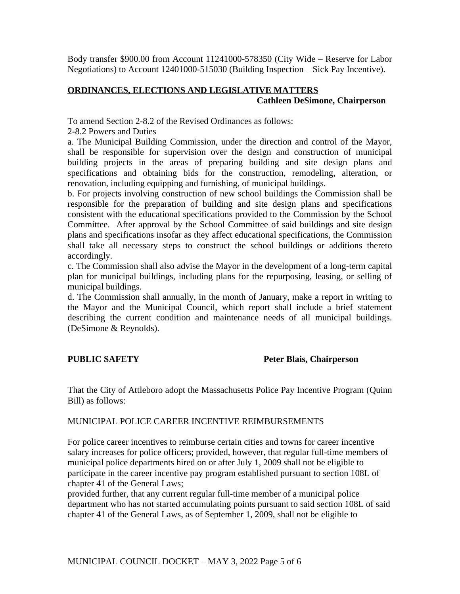Body transfer \$900.00 from Account 11241000-578350 (City Wide – Reserve for Labor Negotiations) to Account 12401000-515030 (Building Inspection – Sick Pay Incentive).

# **ORDINANCES, ELECTIONS AND LEGISLATIVE MATTERS Cathleen DeSimone, Chairperson**

To amend Section 2-8.2 of the Revised Ordinances as follows:

2-8.2 Powers and Duties

a. The Municipal Building Commission, under the direction and control of the Mayor, shall be responsible for supervision over the design and construction of municipal building projects in the areas of preparing building and site design plans and specifications and obtaining bids for the construction, remodeling, alteration, or renovation, including equipping and furnishing, of municipal buildings.

b. For projects involving construction of new school buildings the Commission shall be responsible for the preparation of building and site design plans and specifications consistent with the educational specifications provided to the Commission by the School Committee. After approval by the School Committee of said buildings and site design plans and specifications insofar as they affect educational specifications, the Commission shall take all necessary steps to construct the school buildings or additions thereto accordingly.

c. The Commission shall also advise the Mayor in the development of a long-term capital plan for municipal buildings, including plans for the repurposing, leasing, or selling of municipal buildings.

d. The Commission shall annually, in the month of January, make a report in writing to the Mayor and the Municipal Council, which report shall include a brief statement describing the current condition and maintenance needs of all municipal buildings. (DeSimone & Reynolds).

# **PUBLIC SAFETY** Peter Blais, Chairperson

That the City of Attleboro adopt the Massachusetts Police Pay Incentive Program (Quinn Bill) as follows:

## MUNICIPAL POLICE CAREER INCENTIVE REIMBURSEMENTS

For police career incentives to reimburse certain cities and towns for career incentive salary increases for police officers; provided, however, that regular full-time members of municipal police departments hired on or after July 1, 2009 shall not be eligible to participate in the career incentive pay program established pursuant to section 108L of chapter 41 of the General Laws;

provided further, that any current regular full-time member of a municipal police department who has not started accumulating points pursuant to said section 108L of said chapter 41 of the General Laws, as of September 1, 2009, shall not be eligible to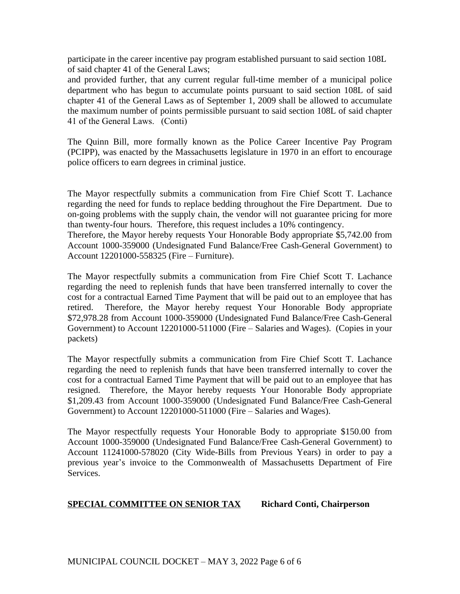participate in the career incentive pay program established pursuant to said section 108L of said chapter 41 of the General Laws;

and provided further, that any current regular full-time member of a municipal police department who has begun to accumulate points pursuant to said section 108L of said chapter 41 of the General Laws as of September 1, 2009 shall be allowed to accumulate the maximum number of points permissible pursuant to said section 108L of said chapter 41 of the General Laws. (Conti)

The Quinn Bill, more formally known as the Police Career Incentive Pay Program (PCIPP), was enacted by the Massachusetts legislature in 1970 in an effort to encourage police officers to earn degrees in criminal justice.

The Mayor respectfully submits a communication from Fire Chief Scott T. Lachance regarding the need for funds to replace bedding throughout the Fire Department. Due to on-going problems with the supply chain, the vendor will not guarantee pricing for more than twenty-four hours. Therefore, this request includes a 10% contingency.

Therefore, the Mayor hereby requests Your Honorable Body appropriate \$5,742.00 from Account 1000-359000 (Undesignated Fund Balance/Free Cash-General Government) to Account 12201000-558325 (Fire – Furniture).

The Mayor respectfully submits a communication from Fire Chief Scott T. Lachance regarding the need to replenish funds that have been transferred internally to cover the cost for a contractual Earned Time Payment that will be paid out to an employee that has retired. Therefore, the Mayor hereby request Your Honorable Body appropriate \$72,978.28 from Account 1000-359000 (Undesignated Fund Balance/Free Cash-General Government) to Account 12201000-511000 (Fire – Salaries and Wages). (Copies in your packets)

The Mayor respectfully submits a communication from Fire Chief Scott T. Lachance regarding the need to replenish funds that have been transferred internally to cover the cost for a contractual Earned Time Payment that will be paid out to an employee that has resigned. Therefore, the Mayor hereby requests Your Honorable Body appropriate \$1,209.43 from Account 1000-359000 (Undesignated Fund Balance/Free Cash-General Government) to Account 12201000-511000 (Fire – Salaries and Wages).

The Mayor respectfully requests Your Honorable Body to appropriate \$150.00 from Account 1000-359000 (Undesignated Fund Balance/Free Cash-General Government) to Account 11241000-578020 (City Wide-Bills from Previous Years) in order to pay a previous year's invoice to the Commonwealth of Massachusetts Department of Fire Services.

# **SPECIAL COMMITTEE ON SENIOR TAX Richard Conti, Chairperson**